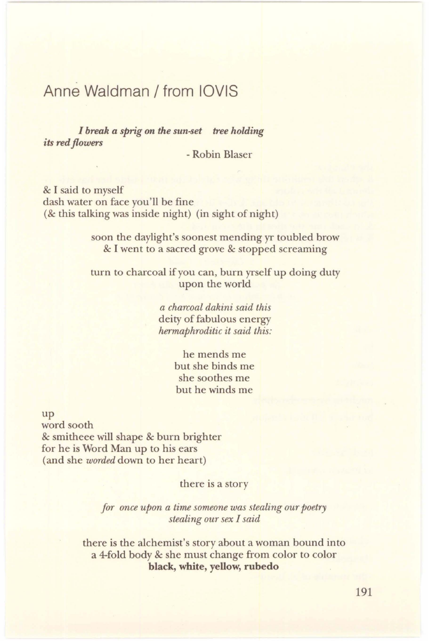## Anne Waldman / from IOVIS

*I break a sprig on the sun-set tree holding its red flowers* 

- Robin Blaser

& I said to myself dash water on face you'll be fine (& this talking was inside night) (in sight of night)

> soon the daylight's soonest mending yr toubled brow & I went to a sacred grove & stopped screaming

> turn to charcoal if you can, burn yrself up doing duty upon the world

> > *a charcoal dakini said this*  deity of fabulous energy *hermaphroditic it said this:*

> > > he mends me but she binds me she soothes me but he winds me

up

word sooth & smitheee will shape & burn brighter for he is Word Man up to his ears (and she *worded* down to her heart)

there is a story

*for once upon a time someone was stealing our poetry stealing our sex I said* 

there is the alchemist's story about a woman bound into a 4-fold body & she must change from color to color **black, white, yellow, rubedo**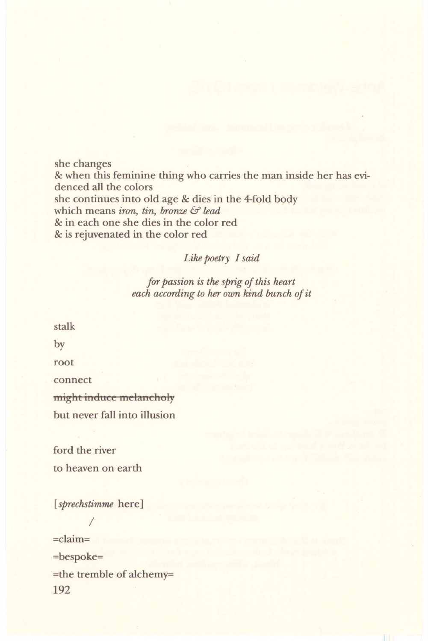she changes & when this feminine thing who carries the man inside her has evidenced all the colors she continues into old age & dies in the 4-fold body which means *iron, tin, bronze* & *lead* & in each one she dies in the color red & is rejuvenated in the color red

## *Like poetry I said*

*for passion is the sprig of this heart each according to her own kind bunch of it* 

stalk by root connect might induce melancholy but never fall into illusion

ford the river to heaven on earth

[ *sprechstimme* here]

*I* 

=claim= =bespoke= =the tremble of alchemy= 192